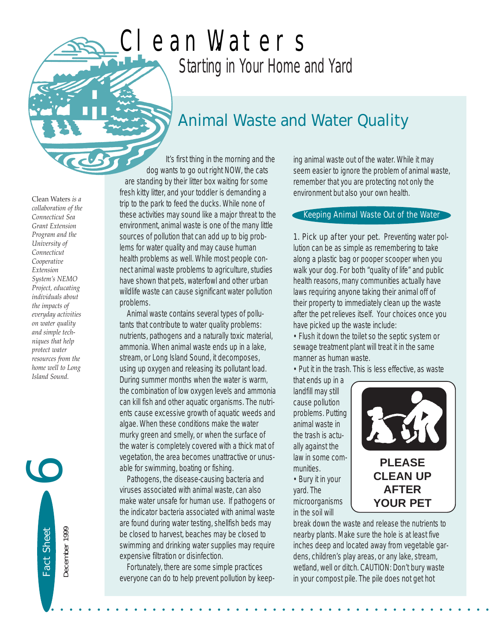## *Starting in Your Home and Yard* Clean Waters

## *Animal Waste and Water Quality*

Clean Waters *is a collaboration of the Connecticut Sea Grant Extension Program and the University of Connecticut Cooperative Extension System's NEMO Project, educating individuals about the impacts of everyday activities on water quality and simple techniques that help protect water resources from the home well to Long Island Sound.* 

Fact Sheet

Fact Sheet

December 1999

December 1999

6

It's first thing in the morning and the dog wants to go out right NOW, the cats are standing by their litter box waiting for some fresh kitty litter, and your toddler is demanding a trip to the park to feed the ducks. While none of these activities may sound like a major threat to the environment, animal waste is one of the many little sources of pollution that can add up to big problems for water quality and may cause human health problems as well. While most people connect animal waste problems to agriculture, studies have shown that pets, waterfowl and other urban wildlife waste can cause significant water pollution problems.

Animal waste contains several types of pollutants that contribute to water quality problems: nutrients, pathogens and a naturally toxic material, ammonia. When animal waste ends up in a lake, stream, or Long Island Sound, it decomposes, using up oxygen and releasing its pollutant load. During summer months when the water is warm, the combination of low oxygen levels and ammonia can kill fish and other aquatic organisms. The nutrients cause excessive growth of aquatic weeds and algae. When these conditions make the water murky green and smelly, or when the surface of the water is completely covered with a thick mat of vegetation, the area becomes unattractive or unusable for swimming, boating or fishing.

Pathogens, the disease-causing bacteria and viruses associated with animal waste, can also make water unsafe for human use. If pathogens or the indicator bacteria associated with animal waste are found during water testing, shellfish beds may be closed to harvest, beaches may be closed to swimming and drinking water supplies may require expensive filtration or disinfection.

Fortunately, there are some simple practices everyone can do to help prevent pollution by keep-

• • • • • • • • • • • • • • • • • • • • • • • • • • • • • • • • • • • • • • • • • • • • • • • •

ing animal waste out of the water. While it may seem easier to ignore the problem of animal waste, remember that you are protecting not only the environment but also your own health.

## Keeping Animal Waste Out of the Water

1. Pick up after your pet. Preventing water pollution can be as simple as remembering to take along a plastic bag or pooper scooper when you walk your dog. For both "quality of life" and public health reasons, many communities actually have laws requiring anyone taking their animal off of their property to immediately clean up the waste after the pet relieves itself. Your choices once you have picked up the waste include:

• Flush it down the toilet so the septic system or sewage treatment plant will treat it in the same manner as human waste.

• Put it in the trash. This is less effective, as waste

that ends up in a landfill may still cause pollution problems. Putting animal waste in the trash is actually against the law in some communities. • Bury it in your yard. The microorganisms

in the soil will



break down the waste and release the nutrients to nearby plants. Make sure the hole is at least five inches deep and located away from vegetable gardens, children's play areas, or any lake, stream, wetland, well or ditch. CAUTION: Don't bury waste in your compost pile. The pile does not get hot